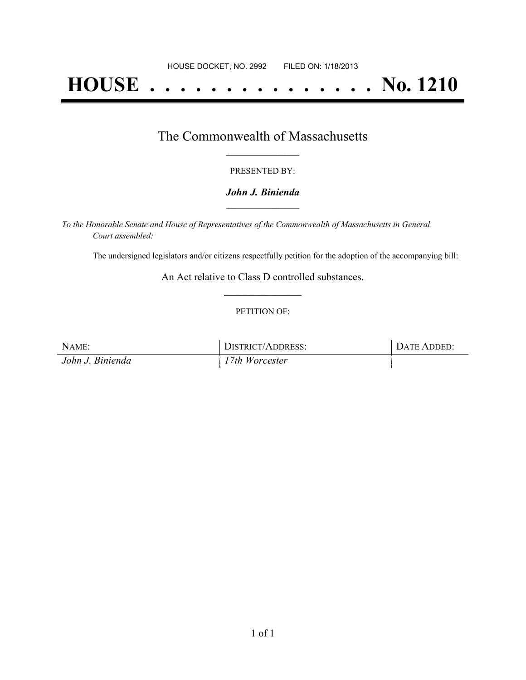# **HOUSE . . . . . . . . . . . . . . . No. 1210**

## The Commonwealth of Massachusetts **\_\_\_\_\_\_\_\_\_\_\_\_\_\_\_\_\_**

#### PRESENTED BY:

#### *John J. Binienda* **\_\_\_\_\_\_\_\_\_\_\_\_\_\_\_\_\_**

*To the Honorable Senate and House of Representatives of the Commonwealth of Massachusetts in General Court assembled:*

The undersigned legislators and/or citizens respectfully petition for the adoption of the accompanying bill:

An Act relative to Class D controlled substances. **\_\_\_\_\_\_\_\_\_\_\_\_\_\_\_**

#### PETITION OF:

| NAME:            | DISTRICT/ADDRESS: | DATE ADDED: |
|------------------|-------------------|-------------|
| John J. Binienda | 17th Worcester    |             |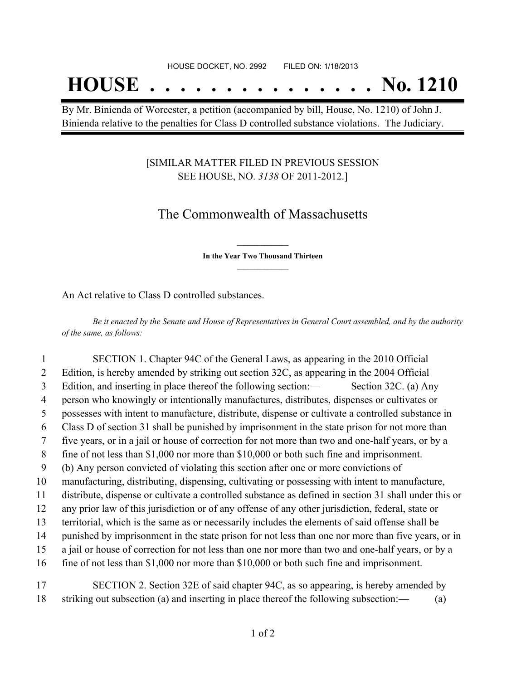## **HOUSE . . . . . . . . . . . . . . . No. 1210**

By Mr. Binienda of Worcester, a petition (accompanied by bill, House, No. 1210) of John J. Binienda relative to the penalties for Class D controlled substance violations. The Judiciary.

#### [SIMILAR MATTER FILED IN PREVIOUS SESSION SEE HOUSE, NO. *3138* OF 2011-2012.]

## The Commonwealth of Massachusetts

**\_\_\_\_\_\_\_\_\_\_\_\_\_\_\_ In the Year Two Thousand Thirteen \_\_\_\_\_\_\_\_\_\_\_\_\_\_\_**

An Act relative to Class D controlled substances.

Be it enacted by the Senate and House of Representatives in General Court assembled, and by the authority *of the same, as follows:*

 SECTION 1. Chapter 94C of the General Laws, as appearing in the 2010 Official Edition, is hereby amended by striking out section 32C, as appearing in the 2004 Official Edition, and inserting in place thereof the following section:— Section 32C. (a) Any person who knowingly or intentionally manufactures, distributes, dispenses or cultivates or possesses with intent to manufacture, distribute, dispense or cultivate a controlled substance in Class D of section 31 shall be punished by imprisonment in the state prison for not more than five years, or in a jail or house of correction for not more than two and one-half years, or by a fine of not less than \$1,000 nor more than \$10,000 or both such fine and imprisonment. (b) Any person convicted of violating this section after one or more convictions of manufacturing, distributing, dispensing, cultivating or possessing with intent to manufacture, distribute, dispense or cultivate a controlled substance as defined in section 31 shall under this or any prior law of this jurisdiction or of any offense of any other jurisdiction, federal, state or territorial, which is the same as or necessarily includes the elements of said offense shall be punished by imprisonment in the state prison for not less than one nor more than five years, or in a jail or house of correction for not less than one nor more than two and one-half years, or by a fine of not less than \$1,000 nor more than \$10,000 or both such fine and imprisonment. SECTION 2. Section 32E of said chapter 94C, as so appearing, is hereby amended by

18 striking out subsection (a) and inserting in place thereof the following subsection:— (a)